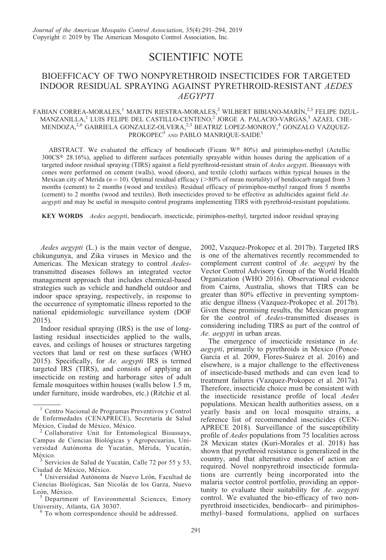## SCIENTIFIC NOTE

## BIOEFFICACY OF TWO NONPYRETHROID INSECTICIDES FOR TARGETED INDOOR RESIDUAL SPRAYING AGAINST PYRETHROID-RESISTANT AEDES AEGYPTI

## FABIAN CORREA-MORALES,<sup>1</sup> MARTIN RIESTRA-MORALES,<sup>2</sup> WILBERT BIBIANO-MARÍN,<sup>2,3</sup> FELIPE DZUL- $\rm MANZANILLA, ^1$ LUIS FELIPE DEL CASTILLO-CENTENO, $^2$ JORGE A. PALACIO-VARGAS, $^3$ AZAEL CHE- $\mathrm{MENDOZA,^{2,6}}$  GABRIELA GONZALEZ-OLVERA, $^{2,3}$ BEATRIZ LOPEZ-MONROY, $^4$ GONZALO VAZQUEZ-PROKOPEC<sup>5</sup> AND PABLO MANRIQUE-SAIDE<sup>1</sup>

ABSTRACT. We evaluated the efficacy of bendiocarb (Ficam  $W^{\circledast}$  80%) and pirimiphos-methyl (Actellic 300CS® 28.16%), applied to different surfaces potentially sprayable within houses during the application of a targeted indoor residual spraying (TIRS) against a field pyrethroid-resistant strain of Aedes aegypti. Bioassays with cones were performed on cement (walls), wood (doors), and textile (cloth) surfaces within typical houses in the Mexican city of Merida ( $n = 10$ ). Optimal residual efficacy ( $>80\%$  of mean mortality) of bendiocarb ranged from 3 months (cement) to 2 months (wood and textiles). Residual efficacy of pirimiphos-methyl ranged from 5 months (cement) to 2 months (wood and textiles). Both insecticides proved to be effective as adulticides against field Ae. *aegypti* and may be useful in mosquito control programs implementing TIRS with pyrethroid-resistant populations.

KEY WORDS Aedes aegypti, bendiocarb, insecticide, pirimiphos-methyl, targeted indoor residual spraying

Aedes aegypti (L.) is the main vector of dengue, chikungunya, and Zika viruses in Mexico and the Americas. The Mexican strategy to control Aedestransmitted diseases follows an integrated vector management approach that includes chemical-based strategies such as vehicle and handheld outdoor and indoor space spraying, respectively, in response to the occurrence of symptomatic illness reported to the national epidemiologic surveillance system (DOF 2015).

Indoor residual spraying (IRS) is the use of longlasting residual insecticides applied to the walls, eaves, and ceilings of houses or structures targeting vectors that land or rest on these surfaces (WHO 2015). Specifically, for Ae. aegypti IRS is termed targeted IRS (TIRS), and consists of applying an insecticide on resting and harborage sites of adult female mosquitoes within houses (walls below 1.5 m, under furniture, inside wardrobes, etc.) (Ritchie et al.

2002, Vazquez-Prokopec et al. 2017b). Targeted IRS is one of the alternatives recently recommended to complement current control of Ae. aegypti by the Vector Control Advisory Group of the World Health Organization (WHO 2016). Observational evidence from Cairns, Australia, shows that TIRS can be greater than 80% effective in preventing symptomatic dengue illness (Vazquez-Prokopec et al. 2017b). Given these promising results, the Mexican program for the control of Aedes-transmitted diseases is considering including TIRS as part of the control of Ae. aegypti in urban areas.

The emergence of insecticide resistance in Ae. aegypti, primarily to pyrethroids in Mexico (Ponce-García et al. 2009, Flores-Suárez et al. 2016) and elsewhere, is a major challenge to the effectiveness of insecticide-based methods and can even lead to treatment failures (Vazquez-Prokopec et al. 2017a). Therefore, insecticide choice must be consistent with the insecticide resistance profile of local Aedes populations. Mexican health authorities assess, on a yearly basis and on local mosquito strains, a reference list of recommended insecticides (CEN-APRECE 2018). Surveillance of the susceptibility profile of Aedes populations from 75 localities across 28 Mexican states (Kuri-Morales et al. 2018) has shown that pyrethroid resistance is generalized in the country, and that alternative modes of action are required. Novel nonpyrethroid insecticide formulations are currently being incorporated into the malaria vector control portfolio, providing an opportunity to evaluate their suitability for Ae. aegypti control. We evaluated the bio-efficacy of two nonpyrethroid insecticides, bendiocarb– and pirimiphosmethyl–based formulations, applied on surfaces

<sup>&</sup>lt;sup>1</sup> Centro Nacional de Programas Preventivos y Control de Enfermedades (CENAPRECE), Secretaría de Salud<br>México, Ciudad de México, México.

Collaborative Unit for Entomological Bioassays, Campus de Ciencias Biológicas y Agropecuarias, Universidad Autónoma de Yucatán, Mérida, Yucatán. México.

 $3$  Servicios de Salud de Yucatán, Calle 72 por 55 y 53, Ciudad de México, México.

Universidad Autónoma de Nuevo León, Facultad de Ciencias Biológicas, San Nicolás de los Garza, Nuevo León, México.<br><sup>5</sup> Department of Environmental Sciences, Emory

University, Atlanta, GA 30307.<br> $\frac{6}{10}$  To whom correspondence should be addressed.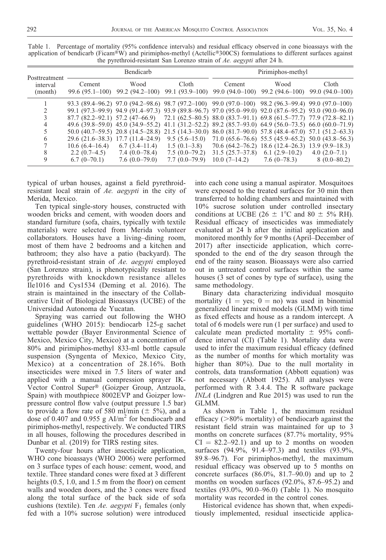| Posttreatment<br>interval<br>(month) | Bendicarb      |                                                        |                                                                                                                                                                                                                                                                                                                                                                                                                                                                                                                                                                                                                                                                            | Pirimiphos-methyl |                                                                                                                               |                |
|--------------------------------------|----------------|--------------------------------------------------------|----------------------------------------------------------------------------------------------------------------------------------------------------------------------------------------------------------------------------------------------------------------------------------------------------------------------------------------------------------------------------------------------------------------------------------------------------------------------------------------------------------------------------------------------------------------------------------------------------------------------------------------------------------------------------|-------------------|-------------------------------------------------------------------------------------------------------------------------------|----------------|
|                                      | Cement         | Wood                                                   | Cloth<br>99.6 (95.1–100) 99.2 (94.2–100) 99.1 (93.9–100) 99.0 (94.0–100) 99.2 (94.6–100) 99.0 (94.0–100)                                                                                                                                                                                                                                                                                                                                                                                                                                                                                                                                                                   | Cement            | Wood                                                                                                                          | Cloth          |
| 4<br>6<br>8                          | $2.2(0.7-4.5)$ | $29.6(21.6-38.3)$ 17.7 $(11.4-24.9)$<br>7.4 (0.0–78.4) | 93.3 (89.4–96.2) 97.0 (94.2–98.6) 98.7 (97.2–100) 99.0 (97.0–100) 98.2 (96.3–99.4) 99.0 (97.0–100)<br>99.1 (97.3–99.9) 94.9 (91.4–97.3) 93.9 (89.8–96.7) 97.0 (95.0–99.0) 92.0 (87.6–95.2) 93.0 (90.0–96.0)<br>$87.7$ $(82.2-92.1)$ $57.2$ $(47-66.9)$ $72.1$ $(62.5-80.5)$ $88.0$ $(83.7-91.1)$ $69.8$ $(61.5-77.7)$ $77.9$ $(72.8-82.1)$<br>49.6 (39.8–59.0) 45.0 (34.9–55.2) 41.1 (31.2–52.2) 89.2 (85.7–93.0) 64.9 (56.0–73.5) 66.0 (60.0–71.9)<br>50.0 (40.7–59.5) 20.8 (14.5–28.8) 21.5 (14.3–30.0) 86.0 (81.7–90.0) 57.8 (48.4–67.0) 57.1 (51.2–63.3)<br>$10.6 (6.4-16.4)$ $6.7 (3.4-11.4)$ $1.5 (0.1-3.8)$ $70.6 (64.2-76.2)$ $18.6 (12.4-26.3)$ $13.9 (9.9-18.3)$ |                   | $9.5(5.6-15.0)$ $71.0(65.6-76.6)$ $55.5(45.9-65.2)$ $50.0(43.8-56.3)$<br>7.5 $(0.0-79.2)$ 31.5 $(25.7-37.8)$ 6.1 $(2.9-10.2)$ | $4.0(2.0-7.1)$ |
| 9                                    | $6.7(0-70.1)$  | $7.6(0.0-79.0)$                                        | $7.7(0.0-79.9)$                                                                                                                                                                                                                                                                                                                                                                                                                                                                                                                                                                                                                                                            |                   | $10.0$ (7-14.2) $7.6$ (0-78.3) $8$ (0.0-80.2)                                                                                 |                |

Table 1. Percentage of mortality (95% confidence intervals) and residual efficacy observed in cone bioassays with the application of bendicarb (Ficam®W) and pirimiphos-methyl (Actellic®300CS) formulations to different surfaces against the pyrethroid-resistant San Lorenzo strain of Ae. aegypti after 24 h.

typical of urban houses, against a field pyrethroidresistant local strain of Ae. aegypti in the city of Merida, Mexico.

Ten typical single-story houses, constructed with wooden bricks and cement, with wooden doors and standard furniture (sofa, chairs, typically with textile materials) were selected from Merida volunteer collaborators. Houses have a living–dining room, most of them have 2 bedrooms and a kitchen and bathroom; they also have a patio (backyard). The pyrethroid-resistant strain of Ae. aegypti employed (San Lorenzo strain), is phenotypically resistant to pyrethroids with knockdown resistance alleles Ile1016 and Cys1534 (Deming et al. 2016). The strain is maintained in the insectary of the Collaborative Unit of Biological Bioassays (UCBE) of the Universidad Autonoma de Yucatan.

Spraying was carried out following the WHO guidelines (WHO 2015): bendiocarb 125-g sachet wettable powder (Bayer Environmental Science of Mexico, Mexico City, Mexico) at a concentration of 80% and pirimiphos-methyl 833-ml bottle capsule suspension (Syngenta of Mexico, Mexico City, Mexico) at a concentration of 28.16%. Both insecticides were mixed in 7.5 liters of water and applied with a manual compression sprayer IK-Vector Control Super<sup>®</sup> (Goizper Group, Antzuola, Spain) with mouthpiece 8002EVP and Goizper lowpressure control flow valve (output pressure 1.5 bar) to provide a flow rate of 580 ml/min ( $\pm$  5%), and a dose of 0.407 and 0.955 g  $\text{Al/m}^2$  for bendiocarb and pirimiphos-methyl, respectively. We conducted TIRS in all houses, following the procedures described in Dunbar et al. (2019) for TIRS resting sites.

Twenty-four hours after insecticide application, WHO cone bioassays (WHO 2006) were performed on 3 surface types of each house: cement, wood, and textile. Three standard cones were fixed at 3 different heights (0.5, 1.0, and 1.5 m from the floor) on cement walls and wooden doors, and the 3 cones were fixed along the total surface of the back side of sofa cushions (textile). Ten Ae. aegypti  $F_1$  females (only fed with a 10% sucrose solution) were introduced into each cone using a manual aspirator. Mosquitoes were exposed to the treated surfaces for 30 min then transferred to holding chambers and maintained with 10% sucrose solution under controlled insectary conditions at UCBE (26  $\pm$  1°C and 80  $\pm$  5% RH). Residual efficacy of insecticides was immediately evaluated at 24 h after the initial application and monitored monthly for 9 months (April–December of 2017) after insecticide application, which corresponded to the end of the dry season through the end of the rainy season. Bioassays were also carried out in untreated control surfaces within the same houses (3 set of cones by type of surface), using the same methodology.

Binary data characterizing individual mosquito mortality  $(1 = yes; 0 = no)$  was used in binomial generalized linear mixed models (GLMM) with time as fixed effects and house as a random intercept. A total of 6 models were run (1 per surface) and used to calculate mean predicted mortality  $\pm$  95% confidence interval (CI) (Table 1). Mortality data were used to infer the maximum residual efficacy (defined as the number of months for which mortality was higher than 80%). Due to the null mortality in controls, data transformation (Abbott equation) was not necessary (Abbott 1925). All analyses were performed with R 3.4.4. The R software package INLA (Lindgren and Rue 2015) was used to run the GLMM.

As shown in Table 1, the maximum residual efficacy  $(>\!\!80\!\!%$  mortality) of bendiocarb against the resistant field strain was maintained for up to 3 months on concrete surfaces (87.7% mortality, 95%  $CI = 82.2-92.1$  and up to 2 months on wooden surfaces (94.9%, 91.4–97.3) and textiles (93.9%, 89.8–96.7). For pirimiphos-methyl, the maximum residual efficacy was observed up to 5 months on concrete surfaces (86.0%, 81.7–90.0) and up to 2 months on wooden surfaces (92.0%, 87.6–95.2) and textiles (93.0%, 90.0–96.0) (Table 1). No mosquito mortality was recorded in the control cones.

Historical evidence has shown that, when expeditiously implemented, residual insecticide applica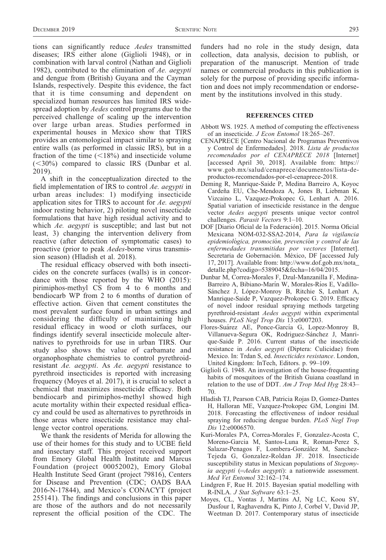tions can significantly reduce Aedes transmitted diseases; IRS either alone (Giglioli 1948), or in combination with larval control (Nathan and Giglioli 1982), contributed to the elimination of Ae. aegypti and dengue from (British) Guyana and the Cayman Islands, respectively. Despite this evidence, the fact that it is time consuming and dependent on specialized human resources has limited IRS widespread adoption by *Aedes* control programs due to the perceived challenge of scaling up the intervention over large urban areas. Studies performed in experimental houses in Mexico show that TIRS provides an entomological impact similar to spraying entire walls (as performed in classic IRS), but in a fraction of the time  $(<18\%)$  and insecticide volume  $(<30\%)$  compared to classic IRS (Dunbar et al. 2019).

A shift in the conceptualization directed to the field implementation of IRS to control Ae. aegypti in urban areas includes: 1) modifying insecticide application sites for TIRS to account for Ae. aegypti indoor resting behavior, 2) piloting novel insecticide formulations that have high residual activity and to which Ae. *aegypti* is susceptible; and last but not least, 3) changing the intervention delivery from reactive (after detection of symptomatic cases) to proactive (prior to peak Aedes-borne virus transmission season) (Hladish et al. 2018).

The residual efficacy observed with both insecticides on the concrete surfaces (walls) is in concordance with those reported by the WHO (2015): pirimiphos-methyl CS from 4 to 6 months and bendiocarb WP from 2 to 6 months of duration of effective action. Given that cement constitutes the most prevalent surface found in urban settings and considering the difficulty of maintaining high residual efficacy in wood or cloth surfaces, our findings identify several insecticide molecule alternatives to pyrethroids for use in urban TIRS. Our study also shows the value of carbamate and organophosphate chemistries to control pyrethroidresistant Ae. aegypti. As Ae. aegypti resistance to pyrethroid insecticides is reported with increasing frequency (Moyes et al. 2017), it is crucial to select a chemical that maximizes insecticide efficacy. Both bendiocarb and pirimiphos-methyl showed high acute mortality within their expected residual efficacy and could be used as alternatives to pyrethroids in those areas where insecticide resistance may challenge vector control operations.

We thank the residents of Merida for allowing the use of their homes for this study and to UCBE field and insectary staff. This project received support from Emory Global Health Institute and Marcus Foundation (project 00052002), Emory Global Health Institute Seed Grant (project 79816), Centers for Disease and Prevention (CDC; OADS BAA 2016-N-17844), and Mexico's CONACYT (project 255141). The findings and conclusions in this paper are those of the authors and do not necessarily represent the official position of the CDC. The

funders had no role in the study design, data collection, data analysis, decision to publish, or preparation of the manuscript. Mention of trade names or commercial products in this publication is solely for the purpose of providing specific information and does not imply recommendation or endorsement by the institutions involved in this study.

## REFERENCES CITED

- Abbott WS. 1925. A method of computing the effectiveness of an insecticide. J Econ Entomol 18:265–267.
- CENAPRECE [Centro Nacional de Programas Preventivos y Control de Enfermedades]. 2018. Lista de productos recomendados por el CENAPRECE 2018 [Internet] [accessed April 30, 2018]. Available from: https:// www.gob.mx/salud/cenaprece/documentos/lista-deproductos-recomendados-por-el-cenaprece-2018.
- Deming R, Manrique-Saide P, Medina Barreiro A, Koyoc Cardeña EU, Che-Mendoza A, Jones B, Liebman K, Vizcaino L, Vazquez-Prokopec G, Lenhart A. 2016. Spatial variation of insecticide resistance in the dengue vector Aedes aegypti presents unique vector control challenges. Parasit Vectors 9:1–10.
- DOF [Diario Oficial de la Federación]. 2015. Norma Oficial Mexicana NOM-032-SSA2-2014, Para la vigilancia epidemiológica, promoción, prevención y control de las enfermedades transmitidas por vectores [Internet]. Secretaria de Gobernación. México, DF [accessed July 17, 2017]. Available from: http://www.dof.gob.mx/nota\_ detalle.php?codigo=5389045&fecha=16/04/2015.
- Dunbar M, Correa-Morales F, Dzul-Manzanilla F, Medina-Barreiro A, Bibiano-Marín W, Morales-Ríos E, Vadillo-Sánchez J, López-Monroy B, Ritchie S, Lenhart A, Manrique-Saide P, Vazquez-Prokopec G. 2019. Efficacy of novel indoor residual spraying methods targeting pyrethroid-resistant Aedes aegypti within experimental houses. PLoS Negl Trop Dis 13:e0007203.
- Flores-Suárez AE, Ponce-García G, Lopez-Monroy B, Villanueva-Segura OK, Rodriguez-Sánchez J, Manrique-Saide P. 2016. Current status of the insecticide resistance in Aedes aegypti (Diptera: Culicidae) from Mexico. In: Trdan S, ed. Insecticides resistance. London, United Kingdom: InTech, Editors. p. 99–109.
- Giglioli G. 1948. An investigation of the house-frequenting habits of mosquitoes of the British Guiana coastland in relation to the use of DDT. Am J Trop Med Hyg  $28:43-$ 70.
- Hladish TJ, Pearson CAB, Patricia Rojas D, Gomez-Dantes H, Halloran ME, Vazquez-Prokopec GM, Longini IM. 2018. Forecasting the effectiveness of indoor residual spraying for reducing dengue burden. PLoS Negl Trop Dis 12:e0006570.
- Kuri-Morales PA, Correa-Morales F, Gonzalez-Acosta C, Moreno-Garcia M, Santos-Luna R, Roman-Perez S, Salazar-Penagos F, Lombera-González M, Sanchez-Tejeda G, Gonzalez-Roldan JF. 2018. Insecticide susceptibility status in Mexican populations of Stegomyia aegypti  $(=\neg A$ edes aegypti): a nationwide assessment. Med Vet Entomol 32:162–174.
- Lindgren F, Rue H. 2015. Bayesian spatial modelling with R-INLA. J Stat Software 63:1–25.
- Moyes, CL, Vontas J, Martins AJ, Ng LC, Koou SY, Dusfour I, Raghavendra K, Pinto J, Corbel V, David JP, Weetman D. 2017. Contemporary status of insecticide